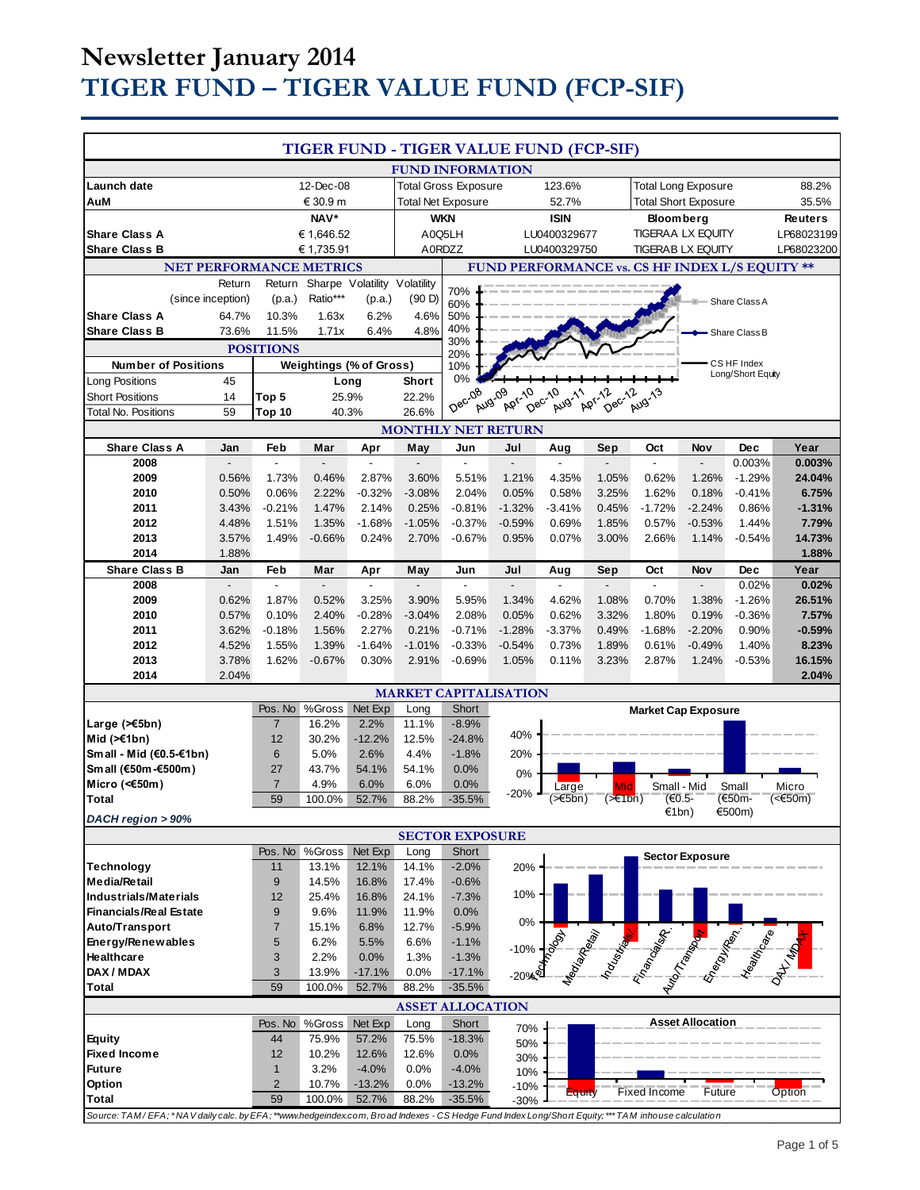# **Newsletter January 2014 TIGER FUND – TIGER VALUE FUND (FCP-SIF)**

| TIGER FUND - TIGER VALUE FUND (FCP-SIF)                                                                                                        |                   |                   |                                |                              |                   |                         |                                                |                   |                             |                                                                                                                        |                         |                   |                   |
|------------------------------------------------------------------------------------------------------------------------------------------------|-------------------|-------------------|--------------------------------|------------------------------|-------------------|-------------------------|------------------------------------------------|-------------------|-----------------------------|------------------------------------------------------------------------------------------------------------------------|-------------------------|-------------------|-------------------|
|                                                                                                                                                |                   |                   |                                |                              |                   | <b>FUND INFORMATION</b> |                                                |                   |                             |                                                                                                                        |                         |                   |                   |
| Launch date                                                                                                                                    | 12-Dec-08         |                   |                                | <b>Total Gross Exposure</b>  |                   |                         | 123.6%                                         |                   | <b>Total Long Exposure</b>  |                                                                                                                        |                         | 88.2%             |                   |
| AuM                                                                                                                                            | € 30.9 m          |                   |                                | <b>Total Net Exposure</b>    |                   |                         | 52.7%                                          |                   | <b>Total Short Exposure</b> |                                                                                                                        |                         | 35.5%             |                   |
| NAV*                                                                                                                                           |                   |                   |                                | <b>WKN</b>                   |                   |                         | <b>ISIN</b>                                    |                   | <b>Bloomberg</b>            |                                                                                                                        |                         | <b>Reuters</b>    |                   |
| <b>Share Class A</b><br>€ 1,646.52                                                                                                             |                   |                   | A0Q5LH                         |                              | LU0400329677      |                         | <b>TIGERAA LX EQUITY</b>                       |                   |                             | LP68023199                                                                                                             |                         |                   |                   |
| <b>Share Class B</b>                                                                                                                           |                   |                   | € 1,735.91                     |                              |                   | A0RDZZ                  |                                                | LU0400329750      |                             | <b>TIGERAB LX EQUITY</b>                                                                                               |                         |                   | LP68023200        |
|                                                                                                                                                |                   |                   | <b>NET PERFORMANCE METRICS</b> |                              |                   |                         | FUND PERFORMANCE vs. CS HF INDEX L/S EQUITY ** |                   |                             |                                                                                                                        |                         |                   |                   |
|                                                                                                                                                | Return            | Return            |                                | Sharpe Volatility Volatility |                   | 70%                     |                                                |                   |                             |                                                                                                                        |                         |                   |                   |
|                                                                                                                                                | (since inception) | (p.a.)            | Ratio***                       | (p.a.)                       | (90 D)            | 60%                     |                                                |                   |                             |                                                                                                                        |                         | Share Class A     |                   |
| <b>Share Class A</b>                                                                                                                           | 64.7%             | 10.3%             | 1.63x                          | 6.2%                         | 4.6%              | 50%<br>40%              |                                                |                   |                             |                                                                                                                        |                         |                   |                   |
| <b>Share Class B</b><br>73.6%<br>11.5%<br>1.71x<br>6.4%                                                                                        |                   |                   |                                | 4.8%                         | 30%               |                         |                                                |                   |                             |                                                                                                                        | Share Class B           |                   |                   |
| <b>POSITIONS</b><br><b>Weightings (% of Gross)</b>                                                                                             |                   |                   |                                |                              | 20%               |                         |                                                |                   |                             |                                                                                                                        | CS HF Index             |                   |                   |
| <b>Number of Positions</b>                                                                                                                     | 45                |                   |                                |                              |                   | 10%<br>0%               |                                                |                   |                             |                                                                                                                        |                         | Long/Short Equity |                   |
| <b>Long Positions</b><br><b>Short Positions</b>                                                                                                | 14                | Top 5             | Long<br>25.9%                  |                              | Short<br>22.2%    |                         | Aug.09<br><b>Apr-10</b>                        |                   | Dec-12<br>Apr-12            | Aug-13                                                                                                                 |                         |                   |                   |
| Total No. Positions                                                                                                                            | 59                | Top 10            | 40.3%                          |                              | 26.6%             | Dec-08                  |                                                | Dec-10<br>Aug-11  |                             |                                                                                                                        |                         |                   |                   |
|                                                                                                                                                |                   |                   |                                |                              |                   |                         | <b>MONTHLY NET RETURN</b>                      |                   |                             |                                                                                                                        |                         |                   |                   |
| <b>Share Class A</b>                                                                                                                           | Jan               | Feb               | Mar                            | Apr                          | May               | Jun                     | Jul                                            | Aug               | Sep                         | Oct                                                                                                                    | Nov                     | <b>Dec</b>        | Year              |
| 2008                                                                                                                                           |                   |                   |                                |                              |                   |                         |                                                |                   |                             |                                                                                                                        | $\overline{a}$          | 0.003%            | 0.003%            |
| 2009                                                                                                                                           | 0.56%             | 1.73%             | 0.46%                          | 2.87%                        | 3.60%             | 5.51%                   | 1.21%                                          | 4.35%             | 1.05%                       | 0.62%                                                                                                                  | 1.26%                   | $-1.29%$          | 24.04%            |
| 2010                                                                                                                                           | 0.50%             | 0.06%             | 2.22%                          | $-0.32%$                     | $-3.08%$          | 2.04%                   | 0.05%                                          | 0.58%             | 3.25%                       | 1.62%                                                                                                                  | 0.18%                   | $-0.41%$          | 6.75%             |
| 2011                                                                                                                                           | 3.43%             | $-0.21%$          | 1.47%                          | 2.14%                        | 0.25%             | $-0.81%$                | $-1.32%$                                       | $-3.41%$          | 0.45%                       | $-1.72%$                                                                                                               | $-2.24%$                | 0.86%             | $-1.31%$          |
| 2012                                                                                                                                           | 4.48%             | 1.51%             | 1.35%                          | $-1.68%$                     | $-1.05%$          | $-0.37%$                | $-0.59%$                                       | 0.69%             | 1.85%                       | 0.57%                                                                                                                  | $-0.53%$                | 1.44%             | 7.79%             |
| 2013                                                                                                                                           | 3.57%             | 1.49%             | $-0.66%$                       | 0.24%                        | 2.70%             | $-0.67%$                | 0.95%                                          | 0.07%             | 3.00%                       | 2.66%                                                                                                                  | 1.14%                   | $-0.54%$          | 14.73%            |
| 2014                                                                                                                                           | 1.88%             |                   |                                |                              |                   |                         |                                                |                   |                             |                                                                                                                        |                         |                   | 1.88%             |
| <b>Share Class B</b>                                                                                                                           | Jan               | Feb               | Mar                            | Apr                          | May               | Jun                     | Jul                                            | Aug               | Sep                         | Oct                                                                                                                    | <b>Nov</b>              | Dec               | Year              |
| 2008                                                                                                                                           |                   | ÷,                |                                |                              | $\overline{a}$    |                         |                                                | ÷,                |                             | ÷,                                                                                                                     |                         | 0.02%             | 0.02%             |
| 2009                                                                                                                                           | 0.62%             | 1.87%             | 0.52%                          | 3.25%                        | 3.90%             | 5.95%                   | 1.34%                                          | 4.62%             | 1.08%                       | 0.70%                                                                                                                  | 1.38%                   | $-1.26%$          | 26.51%            |
| 2010                                                                                                                                           | 0.57%             | 0.10%             | 2.40%                          | $-0.28%$                     | $-3.04%$          | 2.08%                   | 0.05%                                          | 0.62%             | 3.32%                       | 1.80%                                                                                                                  | 0.19%                   | $-0.36%$          | 7.57%             |
| 2011<br>2012                                                                                                                                   | 3.62%<br>4.52%    | $-0.18%$<br>1.55% | 1.56%<br>1.39%                 | 2.27%<br>$-1.64%$            | 0.21%<br>$-1.01%$ | $-0.71%$<br>$-0.33%$    | $-1.28%$<br>$-0.54%$                           | $-3.37%$<br>0.73% | 0.49%<br>1.89%              | $-1.68%$<br>0.61%                                                                                                      | $-2.20%$<br>$-0.49%$    | 0.90%<br>1.40%    | $-0.59%$<br>8.23% |
| 2013                                                                                                                                           | 3.78%             | 1.62%             | $-0.67%$                       | 0.30%                        | 2.91%             | $-0.69%$                | 1.05%                                          | 0.11%             | 3.23%                       | 2.87%                                                                                                                  | 1.24%                   | $-0.53%$          | 16.15%            |
| 2014                                                                                                                                           | 2.04%             |                   |                                |                              |                   |                         |                                                |                   |                             |                                                                                                                        |                         |                   | 2.04%             |
|                                                                                                                                                |                   |                   |                                |                              |                   |                         | <b>MARKET CAPITALISATION</b>                   |                   |                             |                                                                                                                        |                         |                   |                   |
|                                                                                                                                                |                   | Pos. No           | %Gross                         | Net Exp                      | Long              | Short                   |                                                |                   |                             | <b>Market Cap Exposure</b>                                                                                             |                         |                   |                   |
| Large (>€5bn)                                                                                                                                  |                   | $\overline{7}$    | 16.2%                          | 2.2%                         | 11.1%             | $-8.9%$                 |                                                |                   |                             |                                                                                                                        |                         |                   |                   |
| Mid $(\geq 1$ bn)                                                                                                                              |                   | 12                | 30.2%                          | $-12.2%$                     | 12.5%             | $-24.8%$                | 40%                                            |                   |                             |                                                                                                                        |                         |                   |                   |
| Small - Mid (€0.5-€1bn)                                                                                                                        |                   | 6                 | 5.0%                           | 2.6%                         | 4.4%              | $-1.8%$                 | 20%                                            |                   |                             |                                                                                                                        |                         |                   |                   |
| Small (€50m-€500m)                                                                                                                             |                   | 27                | 43.7%                          | 54.1%                        | 54.1%             | 0.0%                    | 0%                                             |                   |                             |                                                                                                                        |                         |                   |                   |
| Micro (<€50m)                                                                                                                                  |                   | $\overline{7}$    | 4.9%                           | 6.0%                         | 6.0%              | 0.0%                    | $-20%$                                         | Large             | Mid                         | Small - Mid                                                                                                            |                         | Small             | Micro             |
| Total                                                                                                                                          |                   | 59                | 100.0%                         | 52.7%                        | 88.2%             | $-35.5%$                |                                                | (>€5bn)           | (>€1bn)                     | (€0.5-<br>€1bn)                                                                                                        |                         | (€50m-<br>€500m)  | $\leq 50m$        |
| DACH region > 90%                                                                                                                              |                   |                   |                                |                              |                   |                         |                                                |                   |                             |                                                                                                                        |                         |                   |                   |
|                                                                                                                                                |                   |                   |                                |                              |                   | <b>SECTOR EXPOSURE</b>  |                                                |                   |                             |                                                                                                                        |                         |                   |                   |
|                                                                                                                                                |                   | Pos. No           | %Gross                         | Net Exp                      | Long              | Short<br>$-2.0%$        |                                                |                   |                             |                                                                                                                        | <b>Sector Exposure</b>  |                   |                   |
| <b>Technology</b><br>Media/Retail                                                                                                              |                   | 11<br>$9\,$       | 13.1%<br>14.5%                 | 12.1%<br>16.8%               | 14.1%<br>17.4%    | $-0.6%$                 | 20%                                            |                   |                             |                                                                                                                        |                         |                   |                   |
| <b>Industrials/Materials</b>                                                                                                                   |                   | 12                | 25.4%                          | 16.8%                        | 24.1%             | $-7.3%$                 | 10%                                            |                   |                             |                                                                                                                        |                         |                   |                   |
| <b>Financials/Real Estate</b>                                                                                                                  |                   | 9                 | 9.6%                           | 11.9%                        | 11.9%             | 0.0%                    |                                                |                   |                             |                                                                                                                        |                         |                   |                   |
| Auto/Transport                                                                                                                                 |                   | $\overline{7}$    | 15.1%                          | 6.8%                         | 12.7%             | $-5.9%$                 | 0%                                             |                   |                             |                                                                                                                        |                         |                   |                   |
| Energy/Renewables                                                                                                                              |                   | 5                 | 6.2%                           | 5.5%                         | 6.6%              | $-1.1%$                 |                                                |                   |                             |                                                                                                                        |                         |                   |                   |
| Healthcare                                                                                                                                     |                   | 3                 | 2.2%                           | 0.0%                         | 1.3%              | $-1.3%$                 | $-10%$                                         |                   |                             |                                                                                                                        |                         |                   |                   |
| DAX / MDAX                                                                                                                                     |                   | 3                 | 13.9%                          | $-17.1%$                     | 0.0%              | -17.1%                  | $-20%$                                         |                   |                             | <b>Contract of the Contract of the Contract of the Contract of the Contract of the Contract of the Contract of the</b> |                         |                   |                   |
| <b>Total</b>                                                                                                                                   |                   | 59                | 100.0%                         | 52.7%                        | 88.2%             | $-35.5%$                |                                                |                   |                             |                                                                                                                        |                         |                   |                   |
|                                                                                                                                                |                   |                   |                                |                              |                   | <b>ASSET ALLOCATION</b> |                                                |                   |                             |                                                                                                                        |                         |                   |                   |
|                                                                                                                                                |                   | Pos. No           | %Gross                         | Net Exp                      | Long              | Short                   | 70%                                            |                   |                             |                                                                                                                        | <b>Asset Allocation</b> |                   |                   |
| Equity                                                                                                                                         |                   | 44                | 75.9%                          | 57.2%                        | 75.5%             | $-18.3%$                | 50%                                            |                   |                             |                                                                                                                        |                         |                   |                   |
| <b>Fixed Income</b>                                                                                                                            |                   | 12                | 10.2%                          | 12.6%                        | 12.6%             | 0.0%                    | 30%                                            |                   |                             |                                                                                                                        |                         |                   |                   |
| <b>Future</b>                                                                                                                                  |                   | $\mathbf{1}$      | 3.2%                           | $-4.0%$                      | 0.0%              | $-4.0%$                 | 10%                                            |                   |                             |                                                                                                                        |                         |                   |                   |
| Option                                                                                                                                         |                   | $\overline{2}$    | 10.7%                          | $-13.2%$                     | 0.0%              | $-13.2%$                | -10%                                           | Equity            |                             | Fixed Income                                                                                                           | Future                  |                   | Option            |
| <b>Total</b>                                                                                                                                   |                   | 59                | 100.0%                         | 52.7%                        | 88.2%             | $-35.5%$                | $-30%$                                         |                   |                             |                                                                                                                        |                         |                   |                   |
| Source: TAM/EFA;*NAV daily calc. by EFA;**www.hedgeindex.com, Broad Indexes - CS Hedge Fund Index Long/Short Equity;***TAM inhouse calculation |                   |                   |                                |                              |                   |                         |                                                |                   |                             |                                                                                                                        |                         |                   |                   |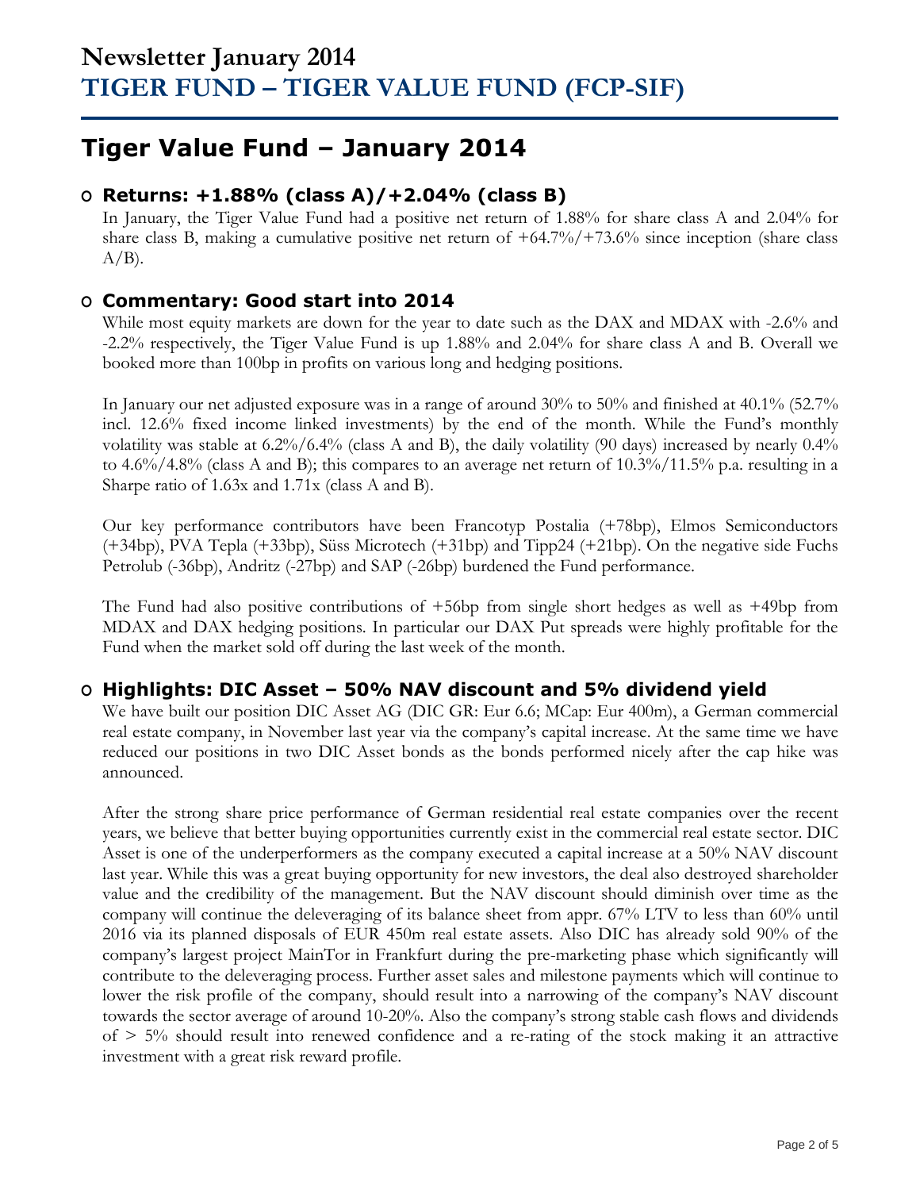# **Tiger Value Fund – January 2014**

## **O Returns: +1.88% (class A)/+2.04% (class B)**

In January, the Tiger Value Fund had a positive net return of 1.88% for share class A and 2.04% for share class B, making a cumulative positive net return of +64.7%/+73.6% since inception (share class  $A/B$ ).

## **O Commentary: Good start into 2014**

While most equity markets are down for the year to date such as the DAX and MDAX with -2.6% and -2.2% respectively, the Tiger Value Fund is up 1.88% and 2.04% for share class A and B. Overall we booked more than 100bp in profits on various long and hedging positions.

In January our net adjusted exposure was in a range of around 30% to 50% and finished at 40.1% (52.7% incl. 12.6% fixed income linked investments) by the end of the month. While the Fund's monthly volatility was stable at 6.2%/6.4% (class A and B), the daily volatility (90 days) increased by nearly 0.4% to 4.6%/4.8% (class A and B); this compares to an average net return of  $10.3\%/11.5\%$  p.a. resulting in a Sharpe ratio of 1.63x and 1.71x (class A and B).

Our key performance contributors have been Francotyp Postalia (+78bp), Elmos Semiconductors (+34bp), PVA Tepla (+33bp), Süss Microtech (+31bp) and Tipp24 (+21bp). On the negative side Fuchs Petrolub (-36bp), Andritz (-27bp) and SAP (-26bp) burdened the Fund performance.

The Fund had also positive contributions of +56bp from single short hedges as well as +49bp from MDAX and DAX hedging positions. In particular our DAX Put spreads were highly profitable for the Fund when the market sold off during the last week of the month.

## **O Highlights: DIC Asset – 50% NAV discount and 5% dividend yield**

We have built our position DIC Asset AG (DIC GR: Eur 6.6; MCap: Eur 400m), a German commercial real estate company, in November last year via the company's capital increase. At the same time we have reduced our positions in two DIC Asset bonds as the bonds performed nicely after the cap hike was announced.

After the strong share price performance of German residential real estate companies over the recent years, we believe that better buying opportunities currently exist in the commercial real estate sector. DIC Asset is one of the underperformers as the company executed a capital increase at a 50% NAV discount last year. While this was a great buying opportunity for new investors, the deal also destroyed shareholder value and the credibility of the management. But the NAV discount should diminish over time as the company will continue the deleveraging of its balance sheet from appr. 67% LTV to less than 60% until 2016 via its planned disposals of EUR 450m real estate assets. Also DIC has already sold 90% of the company's largest project MainTor in Frankfurt during the pre-marketing phase which significantly will contribute to the deleveraging process. Further asset sales and milestone payments which will continue to lower the risk profile of the company, should result into a narrowing of the company's NAV discount towards the sector average of around 10-20%. Also the company's strong stable cash flows and dividends of  $> 5\%$  should result into renewed confidence and a re-rating of the stock making it an attractive investment with a great risk reward profile.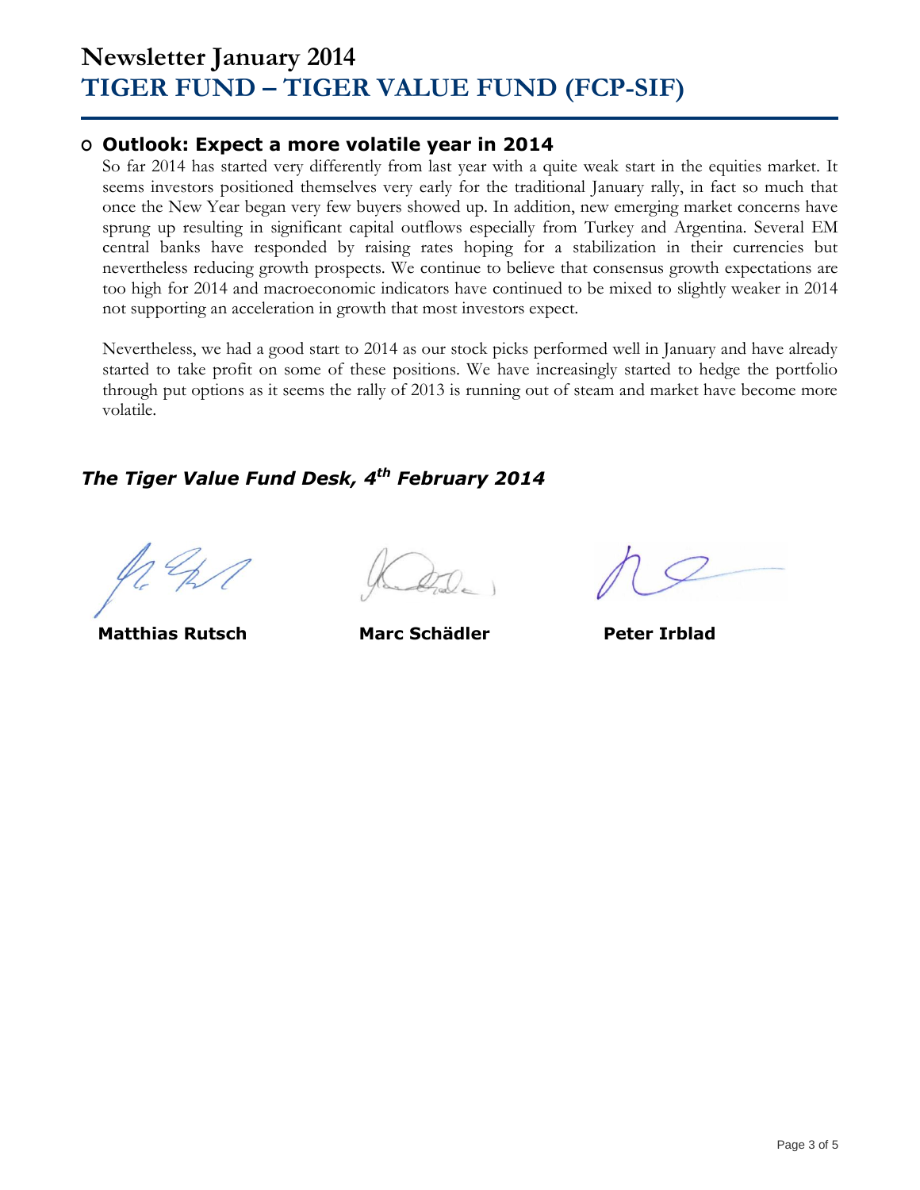# **Newsletter January 2014 TIGER FUND – TIGER VALUE FUND (FCP-SIF)**

## **O Outlook: Expect a more volatile year in 2014**

So far 2014 has started very differently from last year with a quite weak start in the equities market. It seems investors positioned themselves very early for the traditional January rally, in fact so much that once the New Year began very few buyers showed up. In addition, new emerging market concerns have sprung up resulting in significant capital outflows especially from Turkey and Argentina. Several EM central banks have responded by raising rates hoping for a stabilization in their currencies but nevertheless reducing growth prospects. We continue to believe that consensus growth expectations are too high for 2014 and macroeconomic indicators have continued to be mixed to slightly weaker in 2014 not supporting an acceleration in growth that most investors expect.

Nevertheless, we had a good start to 2014 as our stock picks performed well in January and have already started to take profit on some of these positions. We have increasingly started to hedge the portfolio through put options as it seems the rally of 2013 is running out of steam and market have become more volatile.

## *The Tiger Value Fund Desk, 4 th February 2014*

**Matthias Rutsch Marc Schädler Peter Irblad**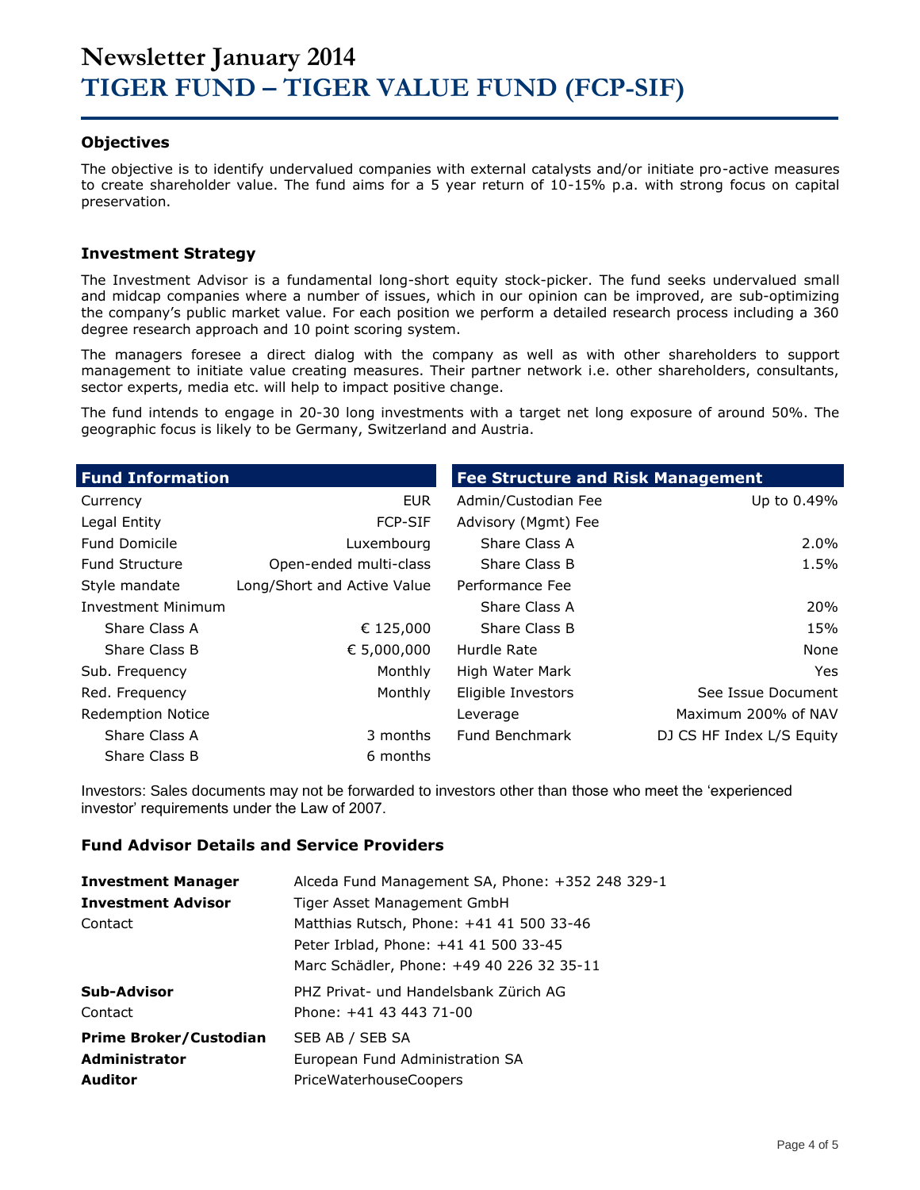### **Objectives**

The objective is to identify undervalued companies with external catalysts and/or initiate pro-active measures to create shareholder value. The fund aims for a 5 year return of 10-15% p.a. with strong focus on capital preservation.

### **Investment Strategy**

The Investment Advisor is a fundamental long-short equity stock-picker. The fund seeks undervalued small and midcap companies where a number of issues, which in our opinion can be improved, are sub-optimizing the company's public market value. For each position we perform a detailed research process including a 360 degree research approach and 10 point scoring system.

The managers foresee a direct dialog with the company as well as with other shareholders to support management to initiate value creating measures. Their partner network i.e. other shareholders, consultants, sector experts, media etc. will help to impact positive change.

The fund intends to engage in 20-30 long investments with a target net long exposure of around 50%. The geographic focus is likely to be Germany, Switzerland and Austria.

| <b>Fund Information</b>   |                             | <b>Fee Structure and Risk Management</b> |                           |
|---------------------------|-----------------------------|------------------------------------------|---------------------------|
| Currency                  | <b>EUR</b>                  | Admin/Custodian Fee                      | Up to 0.49%               |
| Legal Entity              | <b>FCP-SIF</b>              | Advisory (Mgmt) Fee                      |                           |
| <b>Fund Domicile</b>      | Luxembourg                  | Share Class A                            | $2.0\%$                   |
| <b>Fund Structure</b>     | Open-ended multi-class      | Share Class B                            | 1.5%                      |
| Style mandate             | Long/Short and Active Value | Performance Fee                          |                           |
| <b>Investment Minimum</b> |                             | Share Class A                            | 20%                       |
| Share Class A             | € 125,000                   | Share Class B                            | 15%                       |
| Share Class B             | € 5,000,000                 | Hurdle Rate                              | None                      |
| Sub. Frequency            | Monthly                     | High Water Mark                          | Yes.                      |
| Red. Frequency            | Monthly                     | Eligible Investors                       | See Issue Document        |
| <b>Redemption Notice</b>  |                             | Leverage                                 | Maximum 200% of NAV       |
| Share Class A             | 3 months                    | Fund Benchmark                           | DJ CS HF Index L/S Equity |
| Share Class B             | 6 months                    |                                          |                           |

Investors: Sales documents may not be forwarded to investors other than those who meet the 'experienced investor' requirements under the Law of 2007.

### **Fund Advisor Details and Service Providers**

| <b>Investment Manager</b>     | Alceda Fund Management SA, Phone: +352 248 329-1 |
|-------------------------------|--------------------------------------------------|
| <b>Investment Advisor</b>     | Tiger Asset Management GmbH                      |
| Contact                       | Matthias Rutsch, Phone: +41 41 500 33-46         |
|                               | Peter Irblad, Phone: +41 41 500 33-45            |
|                               | Marc Schädler, Phone: +49 40 226 32 35-11        |
| Sub-Advisor                   | PHZ Privat- und Handelsbank Zürich AG            |
| Contact                       | Phone: +41 43 443 71-00                          |
| <b>Prime Broker/Custodian</b> | SEB AB / SEB SA                                  |
| <b>Administrator</b>          | European Fund Administration SA                  |
| <b>Auditor</b>                | <b>PriceWaterhouseCoopers</b>                    |